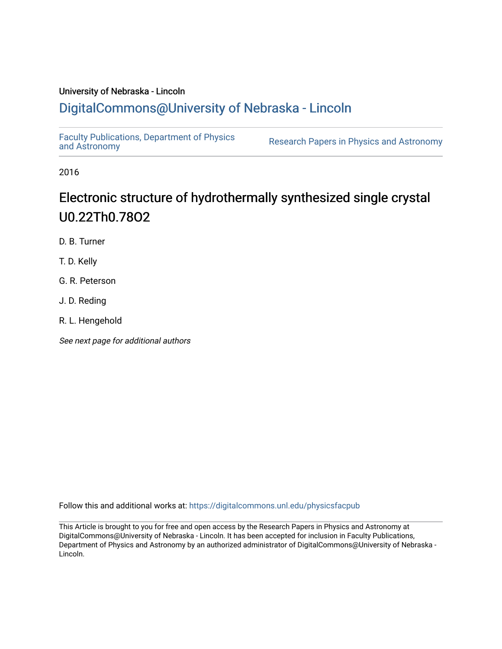# University of Nebraska - Lincoln [DigitalCommons@University of Nebraska - Lincoln](https://digitalcommons.unl.edu/)

[Faculty Publications, Department of Physics](https://digitalcommons.unl.edu/physicsfacpub) 

Research Papers in Physics [and Astronomy](https://digitalcommons.unl.edu/physicsfacpub)

2016

# Electronic structure of hydrothermally synthesized single crystal U0.22Th0.78O2

D. B. Turner

T. D. Kelly

G. R. Peterson

J. D. Reding

R. L. Hengehold

See next page for additional authors

Follow this and additional works at: [https://digitalcommons.unl.edu/physicsfacpub](https://digitalcommons.unl.edu/physicsfacpub?utm_source=digitalcommons.unl.edu%2Fphysicsfacpub%2F292&utm_medium=PDF&utm_campaign=PDFCoverPages)

This Article is brought to you for free and open access by the Research Papers in Physics and Astronomy at DigitalCommons@University of Nebraska - Lincoln. It has been accepted for inclusion in Faculty Publications, Department of Physics and Astronomy by an authorized administrator of DigitalCommons@University of Nebraska - Lincoln.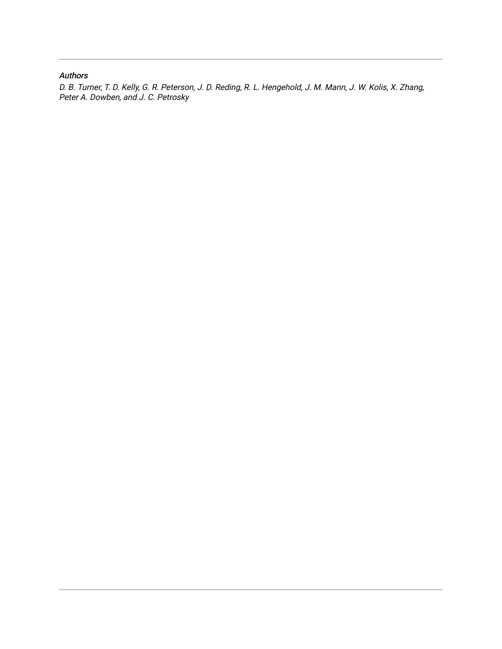## Authors

D. B. Turner, T. D. Kelly, G. R. Peterson, J. D. Reding, R. L. Hengehold, J. M. Mann, J. W. Kolis, X. Zhang, Peter A. Dowben, and J. C. Petrosky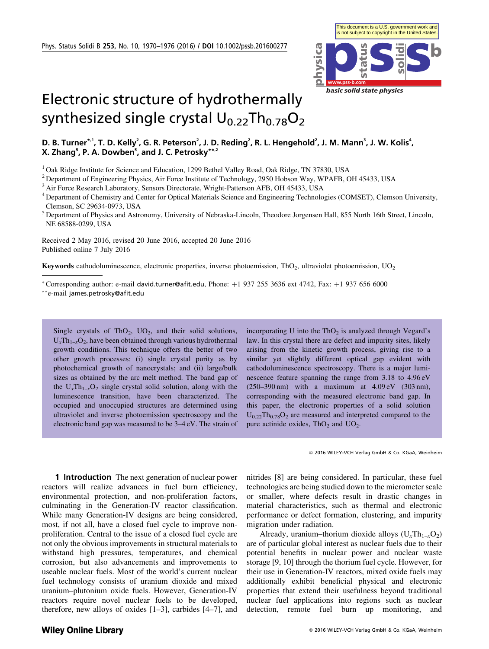

# Electronic structure of hydrothermally synthesized single crystal  $U_{0.22}Th_{0.78}O_2$

### D. B. Turner\*<sup>,1</sup>, T. D. Kelly<sup>2</sup>, G. R. Peterson<sup>2</sup>, J. D. Reding<sup>2</sup>, R. L. Hengehold<sup>2</sup>, J. M. Mann<sup>3</sup>, J. W. Kolis<sup>4</sup>, X. Zhang<sup>5</sup>, P. A. Dowben<sup>5</sup>, and J. C. Petrosky\*\*<sup>,2</sup>

<sup>1</sup> Oak Ridge Institute for Science and Education, 1299 Bethel Valley Road, Oak Ridge, TN 37830, USA

<sup>2</sup> Department of Engineering Physics, Air Force Institute of Technology, 2950 Hobson Way, WPAFB, OH 45433, USA

<sup>3</sup> Air Force Research Laboratory, Sensors Directorate, Wright-Patterson AFB, OH 45433, USA

<sup>4</sup> Department of Chemistry and Center for Optical Materials Science and Engineering Technologies (COMSET), Clemson University, Clemson, SC 29634-0973, USA

<sup>5</sup> Department of Physics and Astronomy, University of Nebraska-Lincoln, Theodore Jorgensen Hall, 855 North 16th Street, Lincoln, NE 68588-0299, USA

Received 2 May 2016, revised 20 June 2016, accepted 20 June 2016 Published online 7 July 2016

**Keywords** cathodoluminescence, electronic properties, inverse photoemission, ThO<sub>2</sub>, ultraviolet photoemission, UO<sub>2</sub>

\*Corresponding author: e-mail david.turner@afit.edu, Phone:  $+1$  937 255 3636 ext 4742, Fax:  $+1$  937 656 6000

Single crystals of ThO<sub>2</sub>, UO<sub>2</sub>, and their solid solutions,  $U_xTh_{1-x}O_2$ , have been obtained through various hydrothermal growth conditions. This technique offers the better of two other growth processes: (i) single crystal purity as by photochemical growth of nanocrystals; and (ii) large/bulk sizes as obtained by the arc melt method. The band gap of the  $U_r Th_{1-r}O_2$  single crystal solid solution, along with the luminescence transition, have been characterized. The occupied and unoccupied structures are determined using ultraviolet and inverse photoemission spectroscopy and the electronic band gap was measured to be 3–4 eV. The strain of

incorporating U into the  $ThO<sub>2</sub>$  is analyzed through Vegard's law. In this crystal there are defect and impurity sites, likely arising from the kinetic growth process, giving rise to a similar yet slightly different optical gap evident with cathodoluminescence spectroscopy. There is a major luminescence feature spanning the range from 3.18 to 4.96 eV (250–390 nm) with a maximum at 4.09 eV (303 nm), corresponding with the measured electronic band gap. In this paper, the electronic properties of a solid solution  $U_{0.22}Th_{0.78}O_2$  are measured and interpreted compared to the pure actinide oxides,  $ThO<sub>2</sub>$  and  $UO<sub>2</sub>$ .

2016 WILEY-VCH Verlag GmbH & Co. KGaA, Weinheim

**1 Introduction** The next generation of nuclear power reactors will realize advances in fuel burn efficiency, environmental protection, and non-proliferation factors, culminating in the Generation-IV reactor classification. While many Generation-IV designs are being considered, most, if not all, have a closed fuel cycle to improve nonproliferation. Central to the issue of a closed fuel cycle are not only the obvious improvements in structural materials to withstand high pressures, temperatures, and chemical corrosion, but also advancements and improvements to useable nuclear fuels. Most of the world's current nuclear fuel technology consists of uranium dioxide and mixed uranium–plutonium oxide fuels. However, Generation-IV reactors require novel nuclear fuels to be developed, therefore, new alloys of oxides [1–3], carbides [4–7], and

nitrides [8] are being considered. In particular, these fuel technologies are being studied down to the micrometer scale or smaller, where defects result in drastic changes in material characteristics, such as thermal and electronic performance or defect formation, clustering, and impurity migration under radiation.

Already, uranium–thorium dioxide alloys  $(U<sub>x</sub>Th<sub>1-x</sub>O<sub>2</sub>)$ are of particular global interest as nuclear fuels due to their potential benefits in nuclear power and nuclear waste storage [9, 10] through the thorium fuel cycle. However, for their use in Generation-IV reactors, mixed oxide fuels may additionally exhibit beneficial physical and electronic properties that extend their usefulness beyond traditional nuclear fuel applications into regions such as nuclear detection, remote fuel burn up monitoring, and

<sup>-</sup>e-mail james.petrosky@afit.edu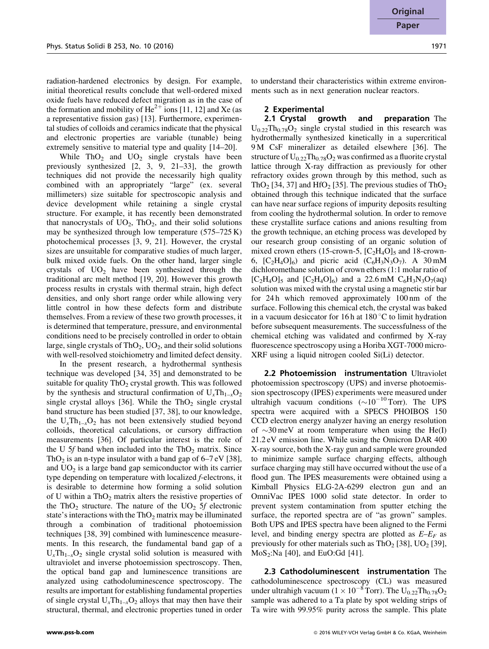radiation-hardened electronics by design. For example, initial theoretical results conclude that well-ordered mixed oxide fuels have reduced defect migration as in the case of the formation and mobility of  $He^{2+}$  ions [11, 12] and Xe (as a representative fission gas) [13]. Furthermore, experimental studies of colloids and ceramics indicate that the physical and electronic properties are variable (tunable) being extremely sensitive to material type and quality [14–20].

While  $ThO<sub>2</sub>$  and  $UO<sub>2</sub>$  single crystals have been previously synthesized [2, 3, 9, 21–33], the growth techniques did not provide the necessarily high quality combined with an appropriately "large" (ex. several millimeters) size suitable for spectroscopic analysis and device development while retaining a single crystal structure. For example, it has recently been demonstrated that nanocrystals of  $UO_2$ , Th $O_2$ , and their solid solutions may be synthesized through low temperature (575–725 K) photochemical processes [3, 9, 21]. However, the crystal sizes are unsuitable for comparative studies of much larger, bulk mixed oxide fuels. On the other hand, larger single crystals of  $UO<sub>2</sub>$  have been synthesized through the traditional arc melt method [19, 20]. However this growth process results in crystals with thermal strain, high defect densities, and only short range order while allowing very little control in how these defects form and distribute themselves. From a review of these two growth processes, it is determined that temperature, pressure, and environmental conditions need to be precisely controlled in order to obtain large, single crystals of  $ThO<sub>2</sub>$ , UO<sub>2</sub>, and their solid solutions with well-resolved stoichiometry and limited defect density.

In the present research, a hydrothermal synthesis technique was developed [34, 35] and demonstrated to be suitable for quality  $ThO<sub>2</sub>$  crystal growth. This was followed by the synthesis and structural confirmation of  $U_xTh_{1-x}O_2$ single crystal alloys [36]. While the  $ThO<sub>2</sub>$  single crystal band structure has been studied [37, 38], to our knowledge, the  $U_x Th_{1-x}O_2$  has not been extensively studied beyond colloids, theoretical calculations, or cursory diffraction measurements [36]. Of particular interest is the role of the U 5f band when included into the  $ThO<sub>2</sub>$  matrix. Since ThO<sub>2</sub> is an n-type insulator with a band gap of  $6-7$  eV [38], and  $UO<sub>2</sub>$  is a large band gap semiconductor with its carrier type depending on temperature with localized f-electrons, it is desirable to determine how forming a solid solution of U within a  $ThO<sub>2</sub>$  matrix alters the resistive properties of the ThO<sub>2</sub> structure. The nature of the  $UO<sub>2</sub> 5f$  electronic state's interactions with the  $ThO<sub>2</sub>$  matrix may be illuminated through a combination of traditional photoemission techniques [38, 39] combined with luminescence measurements. In this research, the fundamental band gap of a  $U_x Th_{1-x}O_2$  single crystal solid solution is measured with ultraviolet and inverse photoemission spectroscopy. Then, the optical band gap and luminescence transitions are analyzed using cathodoluminescence spectroscopy. The results are important for establishing fundamental properties of single crystal  $U_x Th_{1-x}O_2$  alloys that may then have their structural, thermal, and electronic properties tuned in order to understand their characteristics within extreme environments such as in next generation nuclear reactors.

#### 2 Experimental

2.1 Crystal growth and preparation The  $U_{0.22}$ Th<sub>0.78</sub>O<sub>2</sub> single crystal studied in this research was hydrothermally synthesized kinetically in a supercritical 9 M CsF mineralizer as detailed elsewhere [36]. The structure of  $U_{0.22}Th_{0.78}O_2$  was confirmed as a fluorite crystal lattice through X-ray diffraction as previously for other refractory oxides grown through by this method, such as ThO<sub>2</sub> [34, 37] and HfO<sub>2</sub> [35]. The previous studies of ThO<sub>2</sub> obtained through this technique indicated that the surface can have near surface regions of impurity deposits resulting from cooling the hydrothermal solution. In order to remove these crystallite surface cations and anions resulting from the growth technique, an etching process was developed by our research group consisting of an organic solution of mixed crown ethers (15-crown-5,  $[C_2H_4O]_5$  and 18-crown-6,  $[C_2H_4O]_6$  and picric acid  $(C_6H_3N_3O_7)$ . A 30 mM dichloromethane solution of crown ethers (1:1 molar ratio of  $[C_2H_4O]_5$  and  $[C_2H_4O]_6$ ) and a 22.6 mM  $C_6H_3N_3O_7(aq)$ solution was mixed with the crystal using a magnetic stir bar for 24 h which removed approximately 100 nm of the surface. Following this chemical etch, the crystal was baked in a vacuum desiccator for 16 h at  $180^{\circ}$ C to limit hydration before subsequent measurements. The successfulness of the chemical etching was validated and confirmed by X-ray fluorescence spectroscopy using a Horiba XGT-7000 micro-XRF using a liquid nitrogen cooled Si(Li) detector.

**2.2 Photoemission instrumentation Ultraviolet** photoemission spectroscopy (UPS) and inverse photoemission spectroscopy (IPES) experiments were measured under ultrahigh vacuum conditions  $(\sim 10^{-10} \text{ Torr})$ . The UPS spectra were acquired with a SPECS PHOIBOS 150 CCD electron energy analyzer having an energy resolution of  $\sim$ 30 meV at room temperature when using the He(I) 21.2 eV emission line. While using the Omicron DAR 400 X-ray source, both the X-ray gun and sample were grounded to minimize sample surface charging effects, although surface charging may still have occurred without the use of a flood gun. The IPES measurements were obtained using a Kimball Physics ELG-2A-6299 electron gun and an OmniVac IPES 1000 solid state detector. In order to prevent system contamination from sputter etching the surface, the reported spectra are of "as grown" samples. Both UPS and IPES spectra have been aligned to the Fermi level, and binding energy spectra are plotted as  $E-E<sub>F</sub>$  as previously for other materials such as  $ThO<sub>2</sub>$  [38], UO<sub>2</sub> [39],  $MoS_2:Na$  [40], and EuO:Gd [41].

2.3 Cathodoluminescent instrumentation The cathodoluminescence spectroscopy (CL) was measured under ultrahigh vacuum ( $1 \times 10^{-8}$  Torr). The U<sub>0.22</sub>Th<sub>0.78</sub>O<sub>2</sub> sample was adhered to a Ta plate by spot welding strips of Ta wire with 99.95% purity across the sample. This plate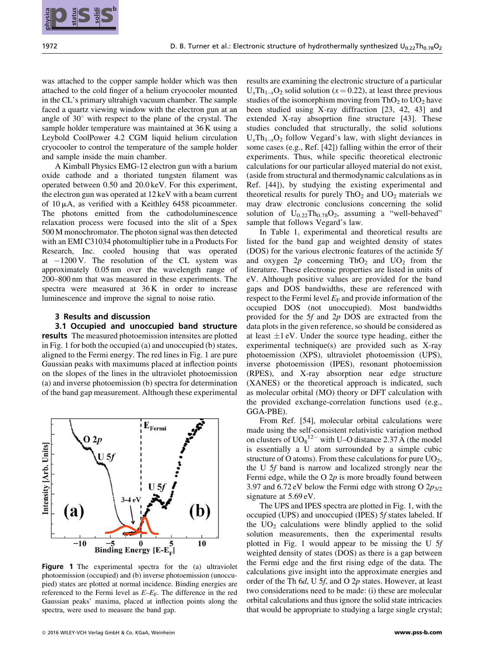was attached to the copper sample holder which was then attached to the cold finger of a helium cryocooler mounted in the CL's primary ultrahigh vacuum chamber. The sample faced a quartz viewing window with the electron gun at an angle of  $30^{\circ}$  with respect to the plane of the crystal. The sample holder temperature was maintained at 36 K using a Leybold CoolPower 4.2 CGM liquid helium circulation cryocooler to control the temperature of the sample holder and sample inside the main chamber.

A Kimball Physics EMG-12 electron gun with a barium oxide cathode and a thoriated tungsten filament was operated between 0.50 and 20.0 keV. For this experiment, the electron gun was operated at 12 keV with a beam current of  $10 \mu A$ , as verified with a Keithley 6458 picoammeter. The photons emitted from the cathodoluminescence relaxation process were focused into the slit of a Spex 500 M monochromator. The photon signal was then detected with an EMI C31034 photomultiplier tube in a Products For Research, Inc. cooled housing that was operated at  $-1200$  V. The resolution of the CL system was approximately 0.05 nm over the wavelength range of 200–800 nm that was measured in these experiments. The spectra were measured at  $36K$  in order to increase luminescence and improve the signal to noise ratio.

#### 3 Results and discussion

3.1 Occupied and unoccupied band structure results The measured photoemission intensites are plotted in Fig. 1 for both the occupied (a) and unoccupied (b) states, aligned to the Fermi energy. The red lines in Fig. 1 are pure Gaussian peaks with maximums placed at inflection points on the slopes of the lines in the ultraviolet photoemission (a) and inverse photoemission (b) spectra for determination of the band gap measurement. Although these experimental



Figure 1 The experimental spectra for the (a) ultraviolet photoemission (occupied) and (b) inverse photoemission (unoccupied) states are plotted at normal incidence. Binding energies are referenced to the Fermi level as  $E-E<sub>F</sub>$ . The difference in the red Gaussian peaks' maxima, placed at inflection points along the spectra, were used to measure the band gap.

results are examining the electronic structure of a particular  $U_{x}Th_{1-x}O_{2}$  solid solution (x = 0.22), at least three previous studies of the isomorphism moving from  $ThO<sub>2</sub>$  to  $UO<sub>2</sub>$  have been studied using X-ray diffraction [23, 42, 43] and extended X-ray absoprtion fine structure [43]. These studies concluded that structurally, the solid solutions  $U_xTh_{1-x}O_2$  follow Vegard's law, with slight deviances in some cases (e.g., Ref. [42]) falling within the error of their experiments. Thus, while specific theoretical electronic calculations for our particular alloyed material do not exist, (aside from structural and thermodynamic calculations as in Ref. [44]), by studying the existing experimental and theoretical results for purely  $ThO<sub>2</sub>$  and  $UO<sub>2</sub>$  materials we may draw electronic conclusions concerning the solid solution of  $U_{0.22}Th_{0.78}O_2$ , assuming a "well-behaved" sample that follows Vegard's law.

In Table 1, experimental and theoretical results are listed for the band gap and weighted density of states (DOS) for the various electronic features of the actinide 5f and oxygen  $2p$  concerning ThO<sub>2</sub> and UO<sub>2</sub> from the literature. These electronic properties are listed in units of eV. Although positive values are provided for the band gaps and DOS bandwidths, these are referenced with respect to the Fermi level  $E_F$  and provide information of the occupied DOS (not unoccupied). Most bandwidths provided for the 5f and 2p DOS are extracted from the data plots in the given reference, so should be considered as at least  $\pm 1$  eV. Under the source type heading, either the experimental technique(s) are provided such as X-ray photoemission (XPS), ultraviolet photoemission (UPS), inverse photoemission (IPES), resonant photoemission (RPES), and X-ray absorption near edge structure (XANES) or the theoretical approach is indicated, such as molecular orbital (MO) theory or DFT calculation with the provided exchange-correlation functions used (e.g., GGA-PBE). **1914 Some of the co. Co. KGa series of the computation of the collection of the computation of the computation of the computation of the computation of the control of the control of the control of the computation of the** 

From Ref. [54], molecular orbital calculations were made using the self-consistent relativistic variation method on clusters of  $UO_8^{12}$  with U–O distance 2.37 Å (the model is essentially a U atom surrounded by a simple cubic structure of O atoms). From these calculations for pure  $UO<sub>2</sub>$ , the U 5f band is narrow and localized strongly near the Fermi edge, while the O  $2p$  is more broadly found between 3.97 and  $6.72 \text{ eV}$  below the Fermi edge with strong O  $2p_{3/2}$ signature at 5.69 eV.

The UPS and IPES spectra are plotted in Fig. 1, with the occupied (UPS) and unoccupied (IPES) 5f states labeled. If the  $UO<sub>2</sub>$  calculations were blindly applied to the solid solution measurements, then the experimental results plotted in Fig. 1 would appear to be missing the U 5f weighted density of states (DOS) as there is a gap between the Fermi edge and the first rising edge of the data. The calculations give insight into the approximate energies and order of the Th  $6d$ , U 5f, and O 2p states. However, at least two considerations need to be made: (i) these are molecular orbital calculations and thus ignore the solid state intricacies that would be appropriate to studying a large single crystal;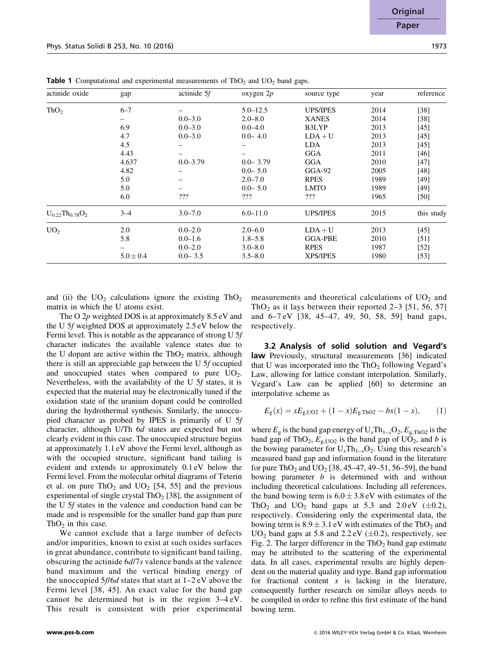|                        |               |              | ັ້           |                 |      |            |
|------------------------|---------------|--------------|--------------|-----------------|------|------------|
| actinide oxide         | gap           | actinide 5f  | oxygen $2p$  | source type     | year | reference  |
| ThO <sub>2</sub>       | $6 - 7$       |              | $5.0 - 12.5$ | <b>UPS/IPES</b> | 2014 | $[38]$     |
|                        |               | $0.0 - 3.0$  | $2.0 - 8.0$  | <b>XANES</b>    | 2014 | $[38]$     |
|                        | 6.9           | $0.0 - 3.0$  | $0.0 - 4.0$  | B3LYP           | 2013 | $[45]$     |
|                        | 4.7           | $0.0 - 3.0$  | $0.0 - 4.0$  | $LDA+U$         | 2013 | $[45]$     |
|                        | 4.5           |              |              | LDA             | 2013 | $[45]$     |
|                        | 4.43          | -            |              | GGA             | 2011 | $[46]$     |
|                        | 4.637         | $0.0 - 3.79$ | $0.0 - 3.79$ | GGA             | 2010 | $[47]$     |
|                        | 4.82          |              | $0.0 - 5.0$  | $GGA-92$        | 2005 | [48]       |
|                        | 5.0           |              | $2.0 - 7.0$  | <b>RPES</b>     | 1989 | $[49]$     |
|                        | 5.0           | -            | $0.0 - 5.0$  | <b>LMTO</b>     | 1989 | [49]       |
|                        | 6.0           | ???          | ???          | ???             | 1965 | $[50]$     |
| $U_{0.22}Th_{0.78}O_2$ | $3 - 4$       | $3.0 - 7.0$  | $6.0 - 11.0$ | <b>UPS/IPES</b> | 2015 | this study |
| UO <sub>2</sub>        | 2.0           | $0.0 - 2.0$  | $2.0 - 6.0$  | $LDA+U$         | 2013 | $[45]$     |
|                        | 5.8           | $0.0 - 1.6$  | $1.8 - 5.8$  | <b>GGA-PBE</b>  | 2010 | [51]       |
|                        |               | $0.0 - 2.0$  | $3.0 - 8.0$  | <b>RPES</b>     | 1987 | $[52]$     |
|                        | $5.0 \pm 0.4$ | $0.0 - 3.5$  | $3.5 - 8.0$  | <b>XPS/IPES</b> | 1980 | $[53]$     |
|                        |               |              |              |                 |      |            |

**Table 1** Computational and experimental measurements of  $ThO<sub>2</sub>$  and UO<sub>2</sub> band gaps.

and (ii) the  $UO_2$  calculations ignore the existing Th $O_2$ matrix in which the U atoms exist.

The O  $2p$  weighted DOS is at approximately 8.5 eV and the U 5f weighted DOS at approximately 2.5 eV below the Fermi level. This is notable as the appearance of strong U 5f character indicates the available valence states due to the U dopant are active within the  $ThO<sub>2</sub>$  matrix, although there is still an appreciable gap between the U 5f occupied and unoccupied states when compared to pure  $UO<sub>2</sub>$ . Nevertheless, with the availability of the U 5f states, it is expected that the material may be electronically tuned if the oxidation state of the uranium dopant could be controlled during the hydrothermal synthesis. Similarly, the unoccupied character as probed by IPES is primarily of U 5f character, although U/Th 6d states are expected but not clearly evident in this case. The unoccupied structure begins at approximately 1.1 eV above the Fermi level, although as with the occupied structure, significant band tailing is evident and extends to approximately 0.1 eV below the Fermi level. From the molecular orbital diagrams of Teterin et al. on pure ThO<sub>2</sub> and UO<sub>2</sub> [54, 55] and the previous experimental of single crystal ThO<sub>2</sub> [38], the assignment of the U 5f states in the valence and conduction band can be made and is responsible for the smaller band gap than pure ThO<sub>2</sub> in this case.

We cannot exclude that a large number of defects and/or impurities, known to exist at such oxides surfaces in great abundance, contribute to significant band tailing, obscuring the actinide 6d/7s valence bands at the valence band maximum and the vertical binding energy of the unoccupied  $5f/6d$  states that start at  $1-2$  eV above the Fermi level [38, 45]. An exact value for the band gap cannot be determined but is in the region 3–4 eV. This result is consistent with prior experimental measurements and theoretical calculations of  $UO<sub>2</sub>$  and ThO<sub>2</sub> as it lays between their reported  $2-3$  [51, 56, 57] and 6–7 eV [38, 45–47, 49, 50, 58, 59] band gaps, respectively.

3.2 Analysis of solid solution and Vegard's law Previously, structural measurements [36] indicated that U was incorporated into the  $ThO<sub>2</sub>$  following Vegard's Law, allowing for lattice constant interpolation. Similarly, Vegard's Law can be applied [60] to determine an interpolative scheme as

$$
E_{\rm g}(x) = xE_{\rm g, UO2} + (1-x)E_{\rm g, ThO2} - bx(1-x), \qquad (1)
$$

where  $E_{\rm g}$  is the band gap energy of  $U_x \text{Th}_{1-x} \text{O}_2$ ,  $E_{\rm g, ThO2}$  is the band gap of ThO<sub>2</sub>,  $E_{g, UO2}$  is the band gap of UO<sub>2</sub>, and b is the bowing parameter for  $U_xTh_{1-x}O_2$ . Using this research's measured band gap and information found in the literature for pure ThO<sub>2</sub> and UO<sub>2</sub> [38, 45–47, 49–51, 56–59], the band bowing parameter  $b$  is determined with and without including theoretical calculations. Including all references, the band bowing term is  $6.0 \pm 3.8 \text{ eV}$  with estimates of the ThO<sub>2</sub> and UO<sub>2</sub> band gaps at 5.3 and 2.0 eV  $(\pm 0.2)$ , respectively. Considering only the experimental data, the bowing term is  $8.9 \pm 3.1$  eV with estimates of the ThO<sub>2</sub> and UO<sub>2</sub> band gaps at 5.8 and  $2.2 \text{eV } (\pm 0.2)$ , respectively, see Fig. 2. The larger difference in the  $ThO<sub>2</sub>$  band gap estimate may be attributed to the scattering of the experimental data. In all cases, experimental results are highly dependent on the material quality and type. Band gap information for fractional content  $x$  is lacking in the literature, consequently further research on similar alloys needs to be compiled in order to refine this first estimate of the band bowing term.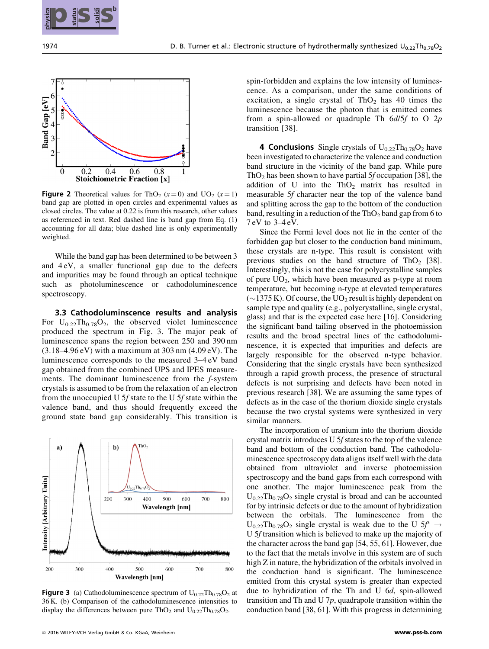



**Figure 2** Theoretical values for ThO<sub>2</sub> ( $x = 0$ ) and UO<sub>2</sub> ( $x = 1$ ) band gap are plotted in open circles and experimental values as closed circles. The value at 0.22 is from this research, other values as referenced in text. Red dashed line is band gap from Eq. (1) accounting for all data; blue dashed line is only experimentally weighted.

While the band gap has been determined to be between 3 and 4 eV, a smaller functional gap due to the defects and impurities may be found through an optical technique such as photoluminescence or cathodoluminescence spectroscopy.

3.3 Cathodoluminscence results and analysis For  $U_{0.22}Th_{0.78}O_2$ , the observed violet luminescence produced the spectrum in Fig. 3. The major peak of luminescence spans the region between 250 and 390 nm  $(3.18-4.96 \text{ eV})$  with a maximum at  $303 \text{ nm}$   $(4.09 \text{ eV})$ . The luminescence corresponds to the measured 3–4 eV band gap obtained from the combined UPS and IPES measurements. The dominant luminescence from the f-system crystals is assumed to be from the relaxation of an electron from the unoccupied U 5f state to the U 5f state within the valence band, and thus should frequently exceed the ground state band gap considerably. This transition is



**Figure 3** (a) Cathodoluminescence spectrum of  $U_{0.22}Th_{0.78}O_2$  at 36 K. (b) Comparison of the cathodoluminescence intensities to display the differences between pure ThO<sub>2</sub> and  $U_{0.22}Th_{0.78}O_2$ .

spin-forbidden and explains the low intensity of luminescence. As a comparison, under the same conditions of excitation, a single crystal of  $ThO<sub>2</sub>$  has 40 times the luminescence because the photon that is emitted comes from a spin-allowed or quadruple Th  $6d/5f$  to O  $2p$ transition [38].

**4 Conclusions** Single crystals of  $U_{0.22}Th_{0.78}O_2$  have been investigated to characterize the valence and conduction band structure in the vicinity of the band gap. While pure ThO<sub>2</sub> has been shown to have partial 5 $f$  occupation [38], the addition of U into the  $ThO<sub>2</sub>$  matrix has resulted in measurable 5f character near the top of the valence band and splitting across the gap to the bottom of the conduction band, resulting in a reduction of the  $ThO<sub>2</sub>$  band gap from 6 to 7 eV to 3–4 eV.

Since the Fermi level does not lie in the center of the forbidden gap but closer to the conduction band minimum, these crystals are n-type. This result is consistent with previous studies on the band structure of ThO<sub>2</sub> [38]. Interestingly, this is not the case for polycrystalline samples of pure  $UO<sub>2</sub>$ , which have been measured as p-type at room temperature, but becoming n-type at elevated temperatures  $(\sim 1375 \text{ K})$ . Of course, the UO<sub>2</sub> result is highly dependent on sample type and quality (e.g., polycrystalline, single crystal, glass) and that is the expected case here [16]. Considering the significant band tailing observed in the photoemission results and the broad spectral lines of the cathodoluminescence, it is expected that impurities and defects are largely responsible for the observed n-type behavior. Considering that the single crystals have been synthesized through a rapid growth process, the presence of structural defects is not surprising and defects have been noted in previous research [38]. We are assuming the same types of defects as in the case of the thorium dioxide single crystals because the two crystal systems were synthesized in very similar manners. 2018 Some of the control of the control of the control of the control of the control of the control of the control of the control of the control of the control of the control of the control of the control of the control o

The incorporation of uranium into the thorium dioxide crystal matrix introduces U 5f states to the top of the valence band and bottom of the conduction band. The cathodoluminescence spectroscopy data aligns itself well with the data obtained from ultraviolet and inverse photoemission spectroscopy and the band gaps from each correspond with one another. The major luminescence peak from the  $U_{0.22}$ Th<sub>0.78</sub>O<sub>2</sub> single crystal is broad and can be accounted for by intrinsic defects or due to the amount of hybridization between the orbitals. The luminescence from the  $U_{0.22}Th_{0.78}O_2$  single crystal is weak due to the U 5 $f^* \rightarrow$ U 5f transition which is believed to make up the majority of the character across the band gap [54, 55, 61]. However, due to the fact that the metals involve in this system are of such high Z in nature, the hybridization of the orbitals involved in the conduction band is significant. The luminescence emitted from this crystal system is greater than expected due to hybridization of the Th and U 6d, spin-allowed transition and Th and U  $7p$ , quadrapole transition within the conduction band [38, 61]. With this progress in determining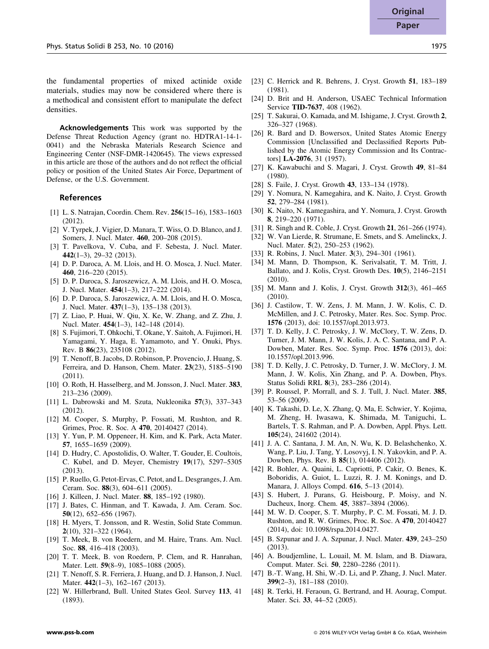the fundamental properties of mixed actinide oxide materials, studies may now be considered where there is a methodical and consistent effort to manipulate the defect densities.

Acknowledgements This work was supported by the Defense Threat Reduction Agency (grant no. HDTRA1-14-1- 0041) and the Nebraska Materials Research Science and Engineering Center (NSF-DMR-1420645). The views expressed in this article are those of the authors and do not reflect the official policy or position of the United States Air Force, Department of Defense, or the U.S. Government.

### References

- [1] L. S. Natrajan, Coordin. Chem. Rev. 256(15–16), 1583–1603 (2012).
- [2] V. Tyrpek, J. Vigier, D. Manara, T. Wiss, O. D. Blanco, and J. Somers, J. Nucl. Mater. 460, 200–208 (2015).
- [3] T. Pavelkova, V. Cuba, and F. Sebesta, J. Nucl. Mater. 442(1–3), 29–32 (2013).
- [4] D. P. Daroca, A. M. Llois, and H. O. Mosca, J. Nucl. Mater. 460, 216–220 (2015).
- [5] D. P. Daroca, S. Jaroszewicz, A. M. Llois, and H. O. Mosca, J. Nucl. Mater. 454(1–3), 217–222 (2014).
- [6] D. P. Daroca, S. Jaroszewicz, A. M. Llois, and H. O. Mosca, J. Nucl. Mater. 437(1–3), 135–138 (2013).
- [7] Z. Liao, P. Huai, W. Qiu, X. Ke, W. Zhang, and Z. Zhu, J. Nucl. Mater. 454(1–3), 142–148 (2014).
- [8] S. Fujimori, T. Ohkochi, T. Okane, Y. Saitoh, A. Fujimori, H. Yamagami, Y. Haga, E. Yamamoto, and Y. Onuki, Phys. Rev. B 86(23), 235108 (2012).
- [9] T. Nenoff, B. Jacobs, D. Robinson, P. Provencio, J. Huang, S. Ferreira, and D. Hanson, Chem. Mater. 23(23), 5185–5190 (2011).
- [10] O. Roth, H. Hasselberg, and M. Jonsson, J. Nucl. Mater. 383, 213–236 (2009).
- [11] L. Dabrowski and M. Szuta, Nukleonika 57(3), 337–343 (2012).
- [12] M. Cooper, S. Murphy, P. Fossati, M. Rushton, and R. Grimes, Proc. R. Soc. A 470, 20140427 (2014).
- [13] Y. Yun, P. M. Oppeneer, H. Kim, and K. Park, Acta Mater. 57, 1655–1659 (2009).
- [14] D. Hudry, C. Apostolidis, O. Walter, T. Gouder, E. Coultois, C. Kubel, and D. Meyer, Chemistry 19(17), 5297–5305 (2013).
- [15] P. Ruello, G. Petot-Ervas, C. Petot, and L. Desgranges, J. Am. Ceram. Soc. 88(3), 604–611 (2005).
- [16] J. Killeen, J. Nucl. Mater. **88**, 185–192 (1980).
- [17] J. Bates, C. Hinman, and T. Kawada, J. Am. Ceram. Soc. 50(12), 652–656 (1967).
- [18] H. Myers, T. Jonsson, and R. Westin, Solid State Commun. 2(10), 321–322 (1964).
- [19] T. Meek, B. von Roedern, and M. Haire, Trans. Am. Nucl. Soc. 88, 416–418 (2003).
- [20] T. T. Meek, B. von Roedern, P. Clem, and R. Hanrahan, Mater. Lett. **59**(8-9), 1085-1088 (2005).
- [21] T. Nenoff, S. R. Ferriera, J. Huang, and D. J. Hanson, J. Nucl. Mater. 442(1-3), 162-167 (2013).
- [22] W. Hillerbrand, Bull. United States Geol. Survey 113, 41 (1893).
- [23] C. Herrick and R. Behrens, J. Cryst. Growth 51, 183-189 (1981).
- [24] D. Brit and H. Anderson, USAEC Technical Information Service TID-7637, 408 (1962).
- [25] T. Sakurai, O. Kamada, and M. Ishigame, J. Cryst. Growth 2, 326–327 (1968).
- [26] R. Bard and D. Bowersox, United States Atomic Energy Commission [Unclassified and Declassified Reports Published by the Atomic Energy Commission and Its Contractors] LA-2076, 31 (1957).
- [27] K. Kawabuchi and S. Magari, J. Cryst. Growth 49, 81–84 (1980).
- [28] S. Faile, J. Cryst. Growth 43, 133–134 (1978).
- [29] Y. Nomura, N. Kamegahira, and K. Naito, J. Cryst. Growth 52, 279–284 (1981).
- [30] K. Naito, N. Kamegashira, and Y. Nomura, J. Cryst. Growth 8, 219–220 (1971).
- [31] R. Singh and R. Coble, J. Cryst. Growth 21, 261–266 (1974).
- [32] W. Van Lierde, R. Strumane, E. Smets, and S. Amelinckx, J. Nucl. Mater. 5(2), 250–253 (1962).
- [33] R. Robins, J. Nucl. Mater. 3(3), 294-301 (1961).
- [34] M. Mann, D. Thompson, K. Serivalsatit, T. M. Tritt, J. Ballato, and J. Kolis, Cryst. Growth Des. 10(5), 2146–2151 (2010).
- [35] M. Mann and J. Kolis, J. Cryst. Growth 312(3), 461-465 (2010).
- [36] J. Castilow, T. W. Zens, J. M. Mann, J. W. Kolis, C. D. McMillen, and J. C. Petrosky, Mater. Res. Soc. Symp. Proc. 1576 (2013), doi: 10.1557/opl.2013.973.
- [37] T. D. Kelly, J. C. Petrosky, J. W. McClory, T. W. Zens, D. Turner, J. M. Mann, J. W. Kolis, J. A. C. Santana, and P. A. Dowben, Mater. Res. Soc. Symp. Proc. 1576 (2013), doi: 10.1557/opl.2013.996.
- [38] T. D. Kelly, J. C. Petrosky, D. Turner, J. W. McClory, J. M. Mann, J. W. Kolis, Xin Zhang, and P. A. Dowben, Phys. Status Solidi RRL 8(3), 283–286 (2014).
- [39] P. Roussel, P. Morrall, and S. J. Tull, J. Nucl. Mater. 385. 53–56 (2009).
- [40] K. Takashi, D. Le, X. Zhang, Q. Ma, E. Schwier, Y. Kojima, M. Zheng, H. Iwasawa, K. Shimada, M. Taniguchi, L. Bartels, T. S. Rahman, and P. A. Dowben, Appl. Phys. Lett. 105(24), 241602 (2014).
- [41] J. A. C. Santana, J. M. An, N. Wu, K. D. Belashchenko, X. Wang, P. Liu, J. Tang, Y. Losovyj, I. N. Yakovkin, and P. A. Dowben, Phys. Rev. B 85(1), 014406 (2012).
- [42] R. Bohler, A. Quaini, L. Capriotti, P. Cakir, O. Benes, K. Boboridis, A. Guiot, L. Luzzi, R. J. M. Konings, and D. Manara, J. Alloys Compd. 616, 5–13 (2014).
- [43] S. Hubert, J. Purans, G. Heisbourg, P. Moisy, and N. Dacheux, Inorg. Chem. 45, 3887–3894 (2006).
- [44] M. W. D. Cooper, S. T. Murphy, P. C. M. Fossati, M. J. D. Rushton, and R. W. Grimes, Proc. R. Soc. A 470, 20140427 (2014), doi: 10.1098/rspa.2014.0427.
- [45] B. Szpunar and J. A. Szpunar, J. Nucl. Mater. 439, 243–250 (2013).
- [46] A. Boudjemline, L. Louail, M. M. Islam, and B. Diawara, Comput. Mater. Sci. 50, 2280–2286 (2011).
- [47] B.-T. Wang, H. Shi, W.-D. Li, and P. Zhang, J. Nucl. Mater. 399(2–3), 181–188 (2010).
- [48] R. Terki, H. Feraoun, G. Bertrand, and H. Aourag, Comput. Mater. Sci. 33, 44–52 (2005).